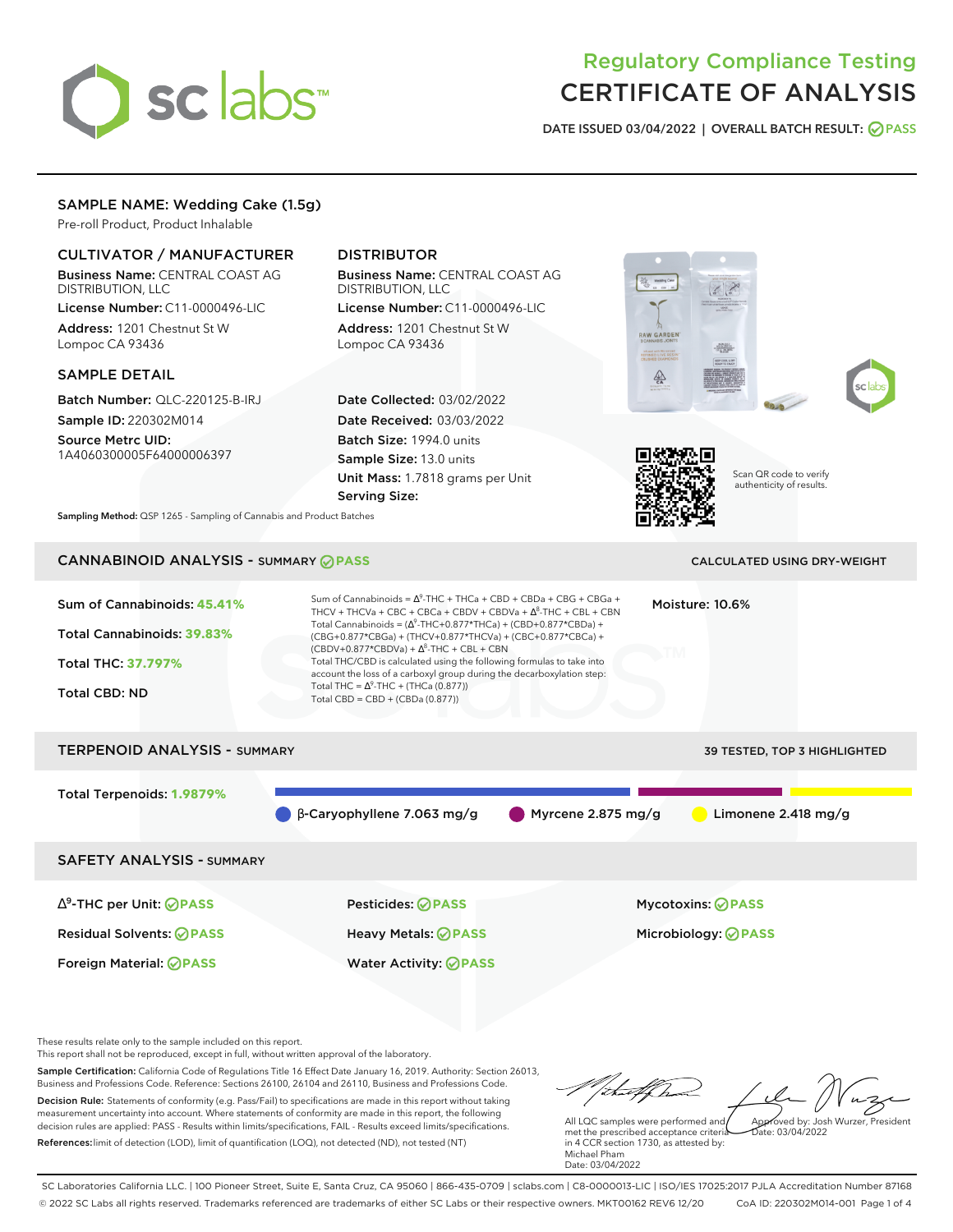# sclabs

# Regulatory Compliance Testing CERTIFICATE OF ANALYSIS

**DATE ISSUED 03/04/2022 | OVERALL BATCH RESULT: PASS**

# SAMPLE NAME: Wedding Cake (1.5g)

Pre-roll Product, Product Inhalable

# CULTIVATOR / MANUFACTURER

Business Name: CENTRAL COAST AG DISTRIBUTION, LLC License Number: C11-0000496-LIC Address: 1201 Chestnut St W Lompoc CA 93436

#### SAMPLE DETAIL

Batch Number: QLC-220125-B-IRJ Sample ID: 220302M014

Source Metrc UID: 1A4060300005F64000006397

# DISTRIBUTOR

Business Name: CENTRAL COAST AG DISTRIBUTION, LLC

License Number: C11-0000496-LIC Address: 1201 Chestnut St W Lompoc CA 93436

Date Collected: 03/02/2022 Date Received: 03/03/2022 Batch Size: 1994.0 units Sample Size: 13.0 units Unit Mass: 1.7818 grams per Unit Serving Size:







Scan QR code to verify authenticity of results.

**Sampling Method:** QSP 1265 - Sampling of Cannabis and Product Batches

# CANNABINOID ANALYSIS - SUMMARY **PASS** CALCULATED USING DRY-WEIGHT

# Sum of Cannabinoids: **45.41%** Total Cannabinoids: **39.83%** Total THC: **37.797%** Total CBD: ND Sum of Cannabinoids =  $\Delta^9$ -THC + THCa + CBD + CBDa + CBG + CBGa + THCV + THCVa + CBC + CBCa + CBDV + CBDVa +  $\Delta^8$ -THC + CBL + CBN Total Cannabinoids = ( $\Delta^9$ -THC+0.877\*THCa) + (CBD+0.877\*CBDa) + (CBG+0.877\*CBGa) + (THCV+0.877\*THCVa) + (CBC+0.877\*CBCa) +  $(CBDV+0.877*CBDVa) + \Delta^8$ -THC + CBL + CBN Total THC/CBD is calculated using the following formulas to take into account the loss of a carboxyl group during the decarboxylation step: Total THC =  $\Delta^9$ -THC + (THCa (0.877)) Total CBD = CBD + (CBDa (0.877)) Moisture: 10.6% TERPENOID ANALYSIS - SUMMARY 39 TESTED, TOP 3 HIGHLIGHTED Total Terpenoids: **1.9879%** β-Caryophyllene 7.063 mg/g Myrcene 2.875 mg/g Limonene 2.418 mg/g SAFETY ANALYSIS - SUMMARY ∆ 9 -THC per Unit: **PASS** Pesticides: **PASS** Mycotoxins: **PASS** Residual Solvents: **PASS** Heavy Metals: **PASS** Microbiology: **PASS** Foreign Material: **PASS** Water Activity: **PASS**

These results relate only to the sample included on this report.

This report shall not be reproduced, except in full, without written approval of the laboratory.

Sample Certification: California Code of Regulations Title 16 Effect Date January 16, 2019. Authority: Section 26013, Business and Professions Code. Reference: Sections 26100, 26104 and 26110, Business and Professions Code. Decision Rule: Statements of conformity (e.g. Pass/Fail) to specifications are made in this report without taking measurement uncertainty into account. Where statements of conformity are made in this report, the following decision rules are applied: PASS - Results within limits/specifications, FAIL - Results exceed limits/specifications.

References:limit of detection (LOD), limit of quantification (LOQ), not detected (ND), not tested (NT)

tu f fra Approved by: Josh Wurzer, President

 $ate: 03/04/2022$ 

All LQC samples were performed and met the prescribed acceptance criteria in 4 CCR section 1730, as attested by: Michael Pham Date: 03/04/2022

SC Laboratories California LLC. | 100 Pioneer Street, Suite E, Santa Cruz, CA 95060 | 866-435-0709 | sclabs.com | C8-0000013-LIC | ISO/IES 17025:2017 PJLA Accreditation Number 87168 © 2022 SC Labs all rights reserved. Trademarks referenced are trademarks of either SC Labs or their respective owners. MKT00162 REV6 12/20 CoA ID: 220302M014-001 Page 1 of 4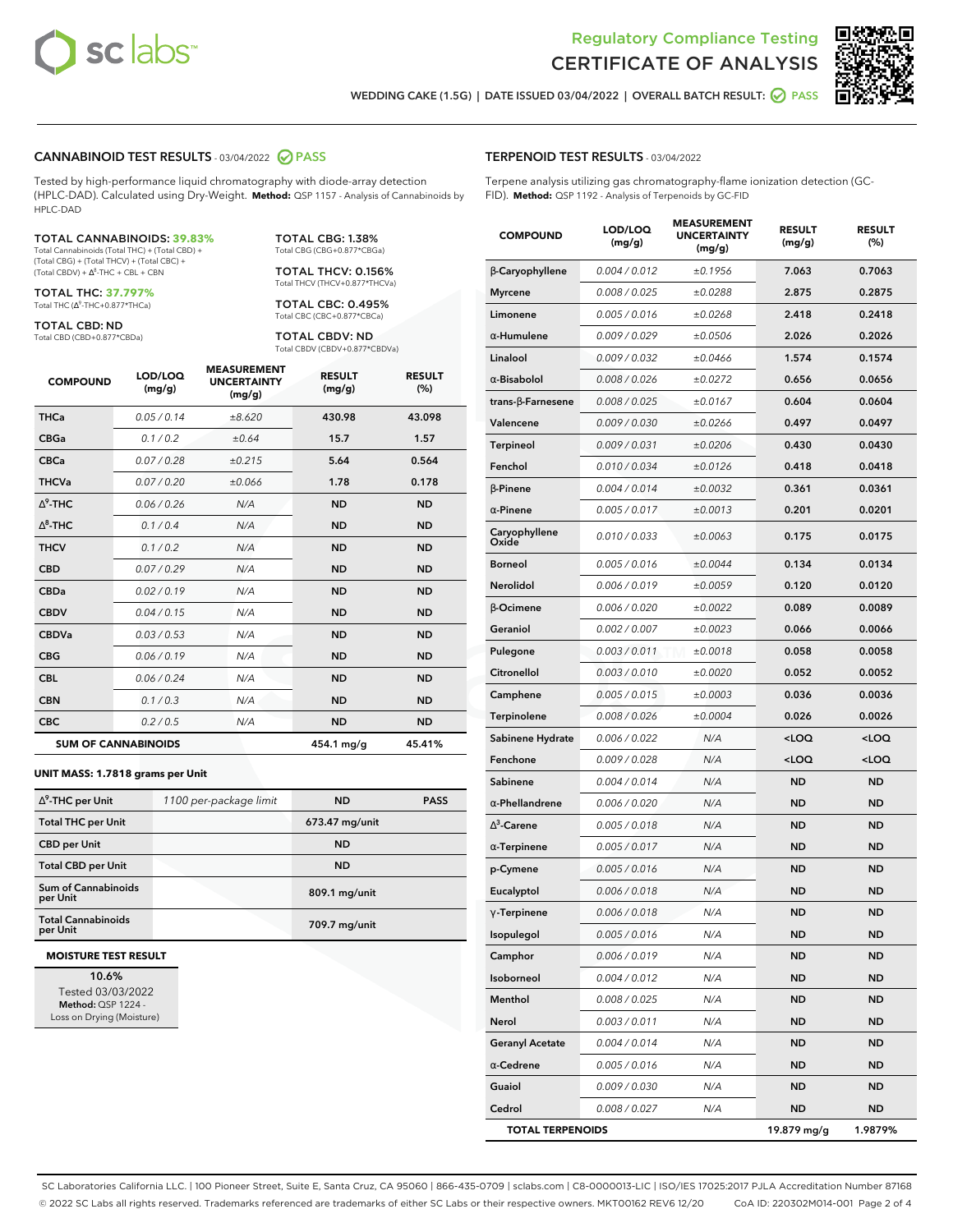



**WEDDING CAKE (1.5G) | DATE ISSUED 03/04/2022 | OVERALL BATCH RESULT: PASS**

#### **CANNABINOID TEST RESULTS** - 03/04/2022 **PASS**

Tested by high-performance liquid chromatography with diode-array detection (HPLC-DAD). Calculated using Dry-Weight. **Method:** QSP 1157 - Analysis of Cannabinoids by HPLC-DAD

#### TOTAL CANNABINOIDS: **39.83%**

Total Cannabinoids (Total THC) + (Total CBD) + (Total CBG) + (Total THCV) + (Total CBC) +  $(Total CBDV) +  $\Delta^8$ -THC + CBL + CBN$ 

TOTAL THC: **37.797%** Total THC (Δ<sup>9</sup>-THC+0.877\*THCa)

TOTAL CBD: ND

Total CBD (CBD+0.877\*CBDa)

TOTAL CBG: 1.38% Total CBG (CBG+0.877\*CBGa)

TOTAL THCV: 0.156% Total THCV (THCV+0.877\*THCVa)

TOTAL CBC: 0.495% Total CBC (CBC+0.877\*CBCa)

TOTAL CBDV: ND Total CBDV (CBDV+0.877\*CBDVa)

| <b>COMPOUND</b> | LOD/LOQ<br>(mg/g)          | <b>MEASUREMENT</b><br><b>UNCERTAINTY</b><br>(mg/g) | <b>RESULT</b><br>(mg/g) | <b>RESULT</b><br>(%) |
|-----------------|----------------------------|----------------------------------------------------|-------------------------|----------------------|
| <b>THCa</b>     | 0.05 / 0.14                | ±8.620                                             | 430.98                  | 43.098               |
| <b>CBGa</b>     | 0.1 / 0.2                  | ±0.64                                              | 15.7                    | 1.57                 |
| <b>CBCa</b>     | 0.07/0.28                  | ±0.215                                             | 5.64                    | 0.564                |
| <b>THCVa</b>    | 0.07/0.20                  | ±0.066                                             | 1.78                    | 0.178                |
| $\Delta^9$ -THC | 0.06 / 0.26                | N/A                                                | <b>ND</b>               | <b>ND</b>            |
| $\Delta^8$ -THC | 0.1 / 0.4                  | N/A                                                | <b>ND</b>               | <b>ND</b>            |
| <b>THCV</b>     | 0.1 / 0.2                  | N/A                                                | <b>ND</b>               | <b>ND</b>            |
| <b>CBD</b>      | 0.07/0.29                  | N/A                                                | <b>ND</b>               | <b>ND</b>            |
| <b>CBDa</b>     | 0.02/0.19                  | N/A                                                | <b>ND</b>               | <b>ND</b>            |
| <b>CBDV</b>     | 0.04/0.15                  | N/A                                                | <b>ND</b>               | <b>ND</b>            |
| <b>CBDVa</b>    | 0.03 / 0.53                | N/A                                                | <b>ND</b>               | <b>ND</b>            |
| <b>CBG</b>      | 0.06/0.19                  | N/A                                                | <b>ND</b>               | <b>ND</b>            |
| <b>CBL</b>      | 0.06 / 0.24                | N/A                                                | <b>ND</b>               | <b>ND</b>            |
| <b>CBN</b>      | 0.1/0.3                    | N/A                                                | <b>ND</b>               | <b>ND</b>            |
| <b>CBC</b>      | 0.2 / 0.5                  | N/A                                                | <b>ND</b>               | <b>ND</b>            |
|                 | <b>SUM OF CANNABINOIDS</b> |                                                    | 454.1 mg/g              | 45.41%               |

#### **UNIT MASS: 1.7818 grams per Unit**

| $\Delta^9$ -THC per Unit              | 1100 per-package limit | <b>ND</b>      | <b>PASS</b> |
|---------------------------------------|------------------------|----------------|-------------|
| <b>Total THC per Unit</b>             |                        | 673.47 mg/unit |             |
| <b>CBD</b> per Unit                   |                        | <b>ND</b>      |             |
| <b>Total CBD per Unit</b>             |                        | <b>ND</b>      |             |
| Sum of Cannabinoids<br>per Unit       |                        | 809.1 mg/unit  |             |
| <b>Total Cannabinoids</b><br>per Unit |                        | 709.7 mg/unit  |             |

#### **MOISTURE TEST RESULT**

**10.6%** Tested 03/03/2022 **Method:** QSP 1224 - Loss on Drying (Moisture)

#### **TERPENOID TEST RESULTS** - 03/04/2022

Terpene analysis utilizing gas chromatography-flame ionization detection (GC-FID). **Method:** QSP 1192 - Analysis of Terpenoids by GC-FID

| <b>COMPOUND</b>         | LOD/LOQ<br>(mg/g) | <b>MEASUREMENT</b><br><b>UNCERTAINTY</b><br>(mg/g) | <b>RESULT</b><br>(mg/g)                         | <b>RESULT</b><br>(%) |
|-------------------------|-------------------|----------------------------------------------------|-------------------------------------------------|----------------------|
| β-Caryophyllene         | 0.004 / 0.012     | ±0.1956                                            | 7.063                                           | 0.7063               |
| <b>Myrcene</b>          | 0.008 / 0.025     | ±0.0288                                            | 2.875                                           | 0.2875               |
| Limonene                | 0.005 / 0.016     | ±0.0268                                            | 2.418                                           | 0.2418               |
| α-Humulene              | 0.009 / 0.029     | ±0.0506                                            | 2.026                                           | 0.2026               |
| Linalool                | 0.009 / 0.032     | ±0.0466                                            | 1.574                                           | 0.1574               |
| $\alpha$ -Bisabolol     | 0.008 / 0.026     | ±0.0272                                            | 0.656                                           | 0.0656               |
| trans-ß-Farnesene       | 0.008 / 0.025     | ±0.0167                                            | 0.604                                           | 0.0604               |
| Valencene               | 0.009 / 0.030     | ±0.0266                                            | 0.497                                           | 0.0497               |
| <b>Terpineol</b>        | 0.009 / 0.031     | ±0.0206                                            | 0.430                                           | 0.0430               |
| Fenchol                 | 0.010 / 0.034     | ±0.0126                                            | 0.418                                           | 0.0418               |
| $\beta$ -Pinene         | 0.004 / 0.014     | ±0.0032                                            | 0.361                                           | 0.0361               |
| $\alpha$ -Pinene        | 0.005 / 0.017     | ±0.0013                                            | 0.201                                           | 0.0201               |
| Caryophyllene<br>Oxide  | 0.010 / 0.033     | ±0.0063                                            | 0.175                                           | 0.0175               |
| Borneol                 | 0.005 / 0.016     | ±0.0044                                            | 0.134                                           | 0.0134               |
| Nerolidol               | 0.006 / 0.019     | ±0.0059                                            | 0.120                                           | 0.0120               |
| <b>B-Ocimene</b>        | 0.006 / 0.020     | ±0.0022                                            | 0.089                                           | 0.0089               |
| Geraniol                | 0.002 / 0.007     | ±0.0023                                            | 0.066                                           | 0.0066               |
| Pulegone                | 0.003 / 0.011     | ±0.0018                                            | 0.058                                           | 0.0058               |
| Citronellol             | 0.003 / 0.010     | ±0.0020                                            | 0.052                                           | 0.0052               |
| Camphene                | 0.005 / 0.015     | ±0.0003                                            | 0.036                                           | 0.0036               |
| Terpinolene             | 0.008 / 0.026     | ±0.0004                                            | 0.026                                           | 0.0026               |
| Sabinene Hydrate        | 0.006 / 0.022     | N/A                                                | <loq< th=""><th><loq< th=""></loq<></th></loq<> | <loq< th=""></loq<>  |
| Fenchone                | 0.009 / 0.028     | N/A                                                | <loq< th=""><th><loq< th=""></loq<></th></loq<> | <loq< th=""></loq<>  |
| Sabinene                | 0.004 / 0.014     | N/A                                                | <b>ND</b>                                       | <b>ND</b>            |
| $\alpha$ -Phellandrene  | 0.006 / 0.020     | N/A                                                | <b>ND</b>                                       | <b>ND</b>            |
| $\Delta^3$ -Carene      | 0.005 / 0.018     | N/A                                                | <b>ND</b>                                       | ND                   |
| $\alpha$ -Terpinene     | 0.005 / 0.017     | N/A                                                | ND                                              | <b>ND</b>            |
| p-Cymene                | 0.005 / 0.016     | N/A                                                | <b>ND</b>                                       | <b>ND</b>            |
| Eucalyptol              | 0.006 / 0.018     | N/A                                                | ND                                              | ND                   |
| $\gamma$ -Terpinene     | 0.006 / 0.018     | N/A                                                | <b>ND</b>                                       | <b>ND</b>            |
| Isopulegol              | 0.005 / 0.016     | N/A                                                | ND                                              | ND                   |
| Camphor                 | 0.006 / 0.019     | N/A                                                | ND                                              | ND                   |
| Isoborneol              | 0.004 / 0.012     | N/A                                                | <b>ND</b>                                       | ND                   |
| Menthol                 | 0.008 / 0.025     | N/A                                                | <b>ND</b>                                       | <b>ND</b>            |
| Nerol                   | 0.003 / 0.011     | N/A                                                | ND                                              | ND                   |
| <b>Geranyl Acetate</b>  | 0.004 / 0.014     | N/A                                                | <b>ND</b>                                       | ND                   |
| $\alpha$ -Cedrene       | 0.005 / 0.016     | N/A                                                | <b>ND</b>                                       | <b>ND</b>            |
| Guaiol                  | 0.009 / 0.030     | N/A                                                | ND                                              | ND                   |
| Cedrol                  | 0.008 / 0.027     | N/A                                                | <b>ND</b>                                       | ND                   |
| <b>TOTAL TERPENOIDS</b> |                   |                                                    | 19.879 mg/g                                     | 1.9879%              |

SC Laboratories California LLC. | 100 Pioneer Street, Suite E, Santa Cruz, CA 95060 | 866-435-0709 | sclabs.com | C8-0000013-LIC | ISO/IES 17025:2017 PJLA Accreditation Number 87168 © 2022 SC Labs all rights reserved. Trademarks referenced are trademarks of either SC Labs or their respective owners. MKT00162 REV6 12/20 CoA ID: 220302M014-001 Page 2 of 4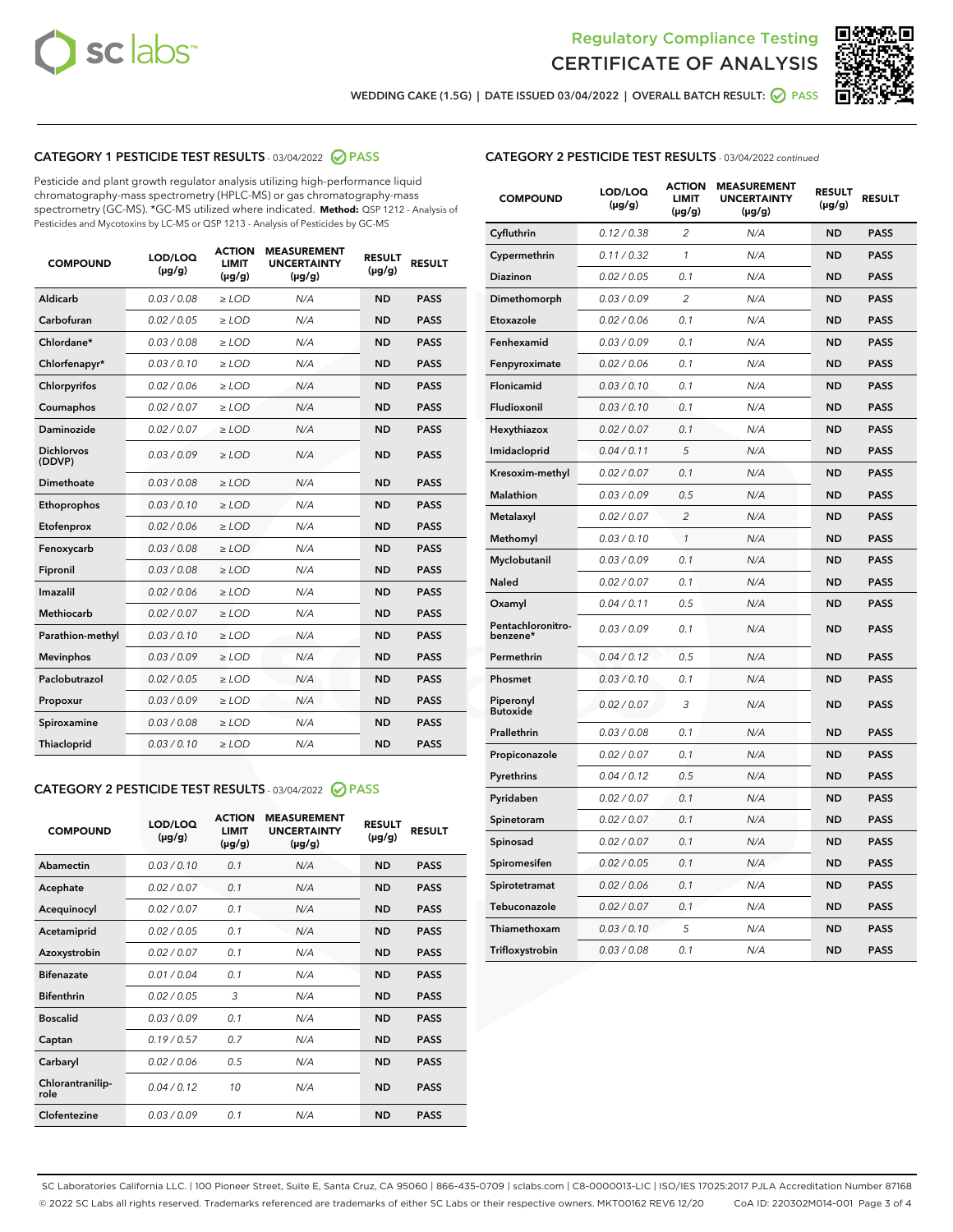



**WEDDING CAKE (1.5G) | DATE ISSUED 03/04/2022 | OVERALL BATCH RESULT: PASS**

# **CATEGORY 1 PESTICIDE TEST RESULTS** - 03/04/2022 **PASS**

Pesticide and plant growth regulator analysis utilizing high-performance liquid chromatography-mass spectrometry (HPLC-MS) or gas chromatography-mass spectrometry (GC-MS). \*GC-MS utilized where indicated. **Method:** QSP 1212 - Analysis of Pesticides and Mycotoxins by LC-MS or QSP 1213 - Analysis of Pesticides by GC-MS

| 0.03 / 0.08<br><b>ND</b><br>Aldicarb<br>$\ge$ LOD<br>N/A<br><b>PASS</b><br>Carbofuran<br>0.02 / 0.05<br>$>$ LOD<br>N/A<br><b>ND</b><br><b>PASS</b><br>Chlordane*<br>0.03 / 0.08<br>N/A<br><b>ND</b><br><b>PASS</b><br>$\ge$ LOD<br>Chlorfenapyr*<br>0.03/0.10<br>N/A<br><b>ND</b><br><b>PASS</b><br>$\ge$ LOD<br>N/A<br><b>ND</b><br><b>PASS</b><br>Chlorpyrifos<br>0.02/0.06<br>$>$ LOD<br>0.02 / 0.07<br><b>PASS</b><br>Coumaphos<br>$\ge$ LOD<br>N/A<br><b>ND</b><br>Daminozide<br>0.02 / 0.07<br>N/A<br><b>PASS</b><br>$\ge$ LOD<br><b>ND</b><br><b>Dichlorvos</b><br>0.03/0.09<br>N/A<br>$\ge$ LOD<br><b>ND</b><br><b>PASS</b><br>(DDVP)<br>0.03 / 0.08<br><b>ND</b><br>Dimethoate<br>$>$ LOD<br>N/A<br><b>PASS</b><br>0.03/0.10<br><b>ND</b><br><b>PASS</b><br>Ethoprophos<br>$>$ LOD<br>N/A<br>0.02 / 0.06<br>N/A<br><b>ND</b><br><b>PASS</b><br>Etofenprox<br>$\ge$ LOD<br>0.03 / 0.08<br>N/A<br><b>ND</b><br><b>PASS</b><br>Fenoxycarb<br>$\ge$ LOD<br>0.03 / 0.08<br><b>ND</b><br><b>PASS</b><br>Fipronil<br>$\ge$ LOD<br>N/A<br>Imazalil<br>0.02 / 0.06<br>N/A<br><b>ND</b><br>$\ge$ LOD<br><b>PASS</b><br><b>Methiocarb</b><br>0.02 / 0.07<br>$\ge$ LOD<br>N/A<br><b>ND</b><br><b>PASS</b><br>Parathion-methyl<br>0.03/0.10<br>$>$ LOD<br>N/A<br><b>ND</b><br><b>PASS</b><br>0.03/0.09<br>N/A<br><b>ND</b><br><b>PASS</b><br><b>Mevinphos</b><br>$\ge$ LOD<br>Paclobutrazol<br>0.02 / 0.05<br>N/A<br><b>ND</b><br><b>PASS</b><br>$\ge$ LOD<br>0.03/0.09<br>$>$ LOD<br>N/A<br><b>ND</b><br><b>PASS</b><br>Propoxur<br>0.03 / 0.08<br>$\ge$ LOD<br>N/A<br><b>ND</b><br><b>PASS</b><br>Spiroxamine<br>0.03/0.10<br>N/A<br><b>ND</b><br><b>PASS</b><br>Thiacloprid<br>$\ge$ LOD | <b>COMPOUND</b> | LOD/LOQ<br>$(\mu g/g)$ | <b>ACTION</b><br><b>LIMIT</b><br>$(\mu g/g)$ | <b>MEASUREMENT</b><br><b>UNCERTAINTY</b><br>$(\mu g/g)$ | <b>RESULT</b><br>$(\mu g/g)$ | <b>RESULT</b> |
|-----------------------------------------------------------------------------------------------------------------------------------------------------------------------------------------------------------------------------------------------------------------------------------------------------------------------------------------------------------------------------------------------------------------------------------------------------------------------------------------------------------------------------------------------------------------------------------------------------------------------------------------------------------------------------------------------------------------------------------------------------------------------------------------------------------------------------------------------------------------------------------------------------------------------------------------------------------------------------------------------------------------------------------------------------------------------------------------------------------------------------------------------------------------------------------------------------------------------------------------------------------------------------------------------------------------------------------------------------------------------------------------------------------------------------------------------------------------------------------------------------------------------------------------------------------------------------------------------------------------------------------------------------------------------------------------|-----------------|------------------------|----------------------------------------------|---------------------------------------------------------|------------------------------|---------------|
|                                                                                                                                                                                                                                                                                                                                                                                                                                                                                                                                                                                                                                                                                                                                                                                                                                                                                                                                                                                                                                                                                                                                                                                                                                                                                                                                                                                                                                                                                                                                                                                                                                                                                         |                 |                        |                                              |                                                         |                              |               |
|                                                                                                                                                                                                                                                                                                                                                                                                                                                                                                                                                                                                                                                                                                                                                                                                                                                                                                                                                                                                                                                                                                                                                                                                                                                                                                                                                                                                                                                                                                                                                                                                                                                                                         |                 |                        |                                              |                                                         |                              |               |
|                                                                                                                                                                                                                                                                                                                                                                                                                                                                                                                                                                                                                                                                                                                                                                                                                                                                                                                                                                                                                                                                                                                                                                                                                                                                                                                                                                                                                                                                                                                                                                                                                                                                                         |                 |                        |                                              |                                                         |                              |               |
|                                                                                                                                                                                                                                                                                                                                                                                                                                                                                                                                                                                                                                                                                                                                                                                                                                                                                                                                                                                                                                                                                                                                                                                                                                                                                                                                                                                                                                                                                                                                                                                                                                                                                         |                 |                        |                                              |                                                         |                              |               |
|                                                                                                                                                                                                                                                                                                                                                                                                                                                                                                                                                                                                                                                                                                                                                                                                                                                                                                                                                                                                                                                                                                                                                                                                                                                                                                                                                                                                                                                                                                                                                                                                                                                                                         |                 |                        |                                              |                                                         |                              |               |
|                                                                                                                                                                                                                                                                                                                                                                                                                                                                                                                                                                                                                                                                                                                                                                                                                                                                                                                                                                                                                                                                                                                                                                                                                                                                                                                                                                                                                                                                                                                                                                                                                                                                                         |                 |                        |                                              |                                                         |                              |               |
|                                                                                                                                                                                                                                                                                                                                                                                                                                                                                                                                                                                                                                                                                                                                                                                                                                                                                                                                                                                                                                                                                                                                                                                                                                                                                                                                                                                                                                                                                                                                                                                                                                                                                         |                 |                        |                                              |                                                         |                              |               |
|                                                                                                                                                                                                                                                                                                                                                                                                                                                                                                                                                                                                                                                                                                                                                                                                                                                                                                                                                                                                                                                                                                                                                                                                                                                                                                                                                                                                                                                                                                                                                                                                                                                                                         |                 |                        |                                              |                                                         |                              |               |
|                                                                                                                                                                                                                                                                                                                                                                                                                                                                                                                                                                                                                                                                                                                                                                                                                                                                                                                                                                                                                                                                                                                                                                                                                                                                                                                                                                                                                                                                                                                                                                                                                                                                                         |                 |                        |                                              |                                                         |                              |               |
|                                                                                                                                                                                                                                                                                                                                                                                                                                                                                                                                                                                                                                                                                                                                                                                                                                                                                                                                                                                                                                                                                                                                                                                                                                                                                                                                                                                                                                                                                                                                                                                                                                                                                         |                 |                        |                                              |                                                         |                              |               |
|                                                                                                                                                                                                                                                                                                                                                                                                                                                                                                                                                                                                                                                                                                                                                                                                                                                                                                                                                                                                                                                                                                                                                                                                                                                                                                                                                                                                                                                                                                                                                                                                                                                                                         |                 |                        |                                              |                                                         |                              |               |
|                                                                                                                                                                                                                                                                                                                                                                                                                                                                                                                                                                                                                                                                                                                                                                                                                                                                                                                                                                                                                                                                                                                                                                                                                                                                                                                                                                                                                                                                                                                                                                                                                                                                                         |                 |                        |                                              |                                                         |                              |               |
|                                                                                                                                                                                                                                                                                                                                                                                                                                                                                                                                                                                                                                                                                                                                                                                                                                                                                                                                                                                                                                                                                                                                                                                                                                                                                                                                                                                                                                                                                                                                                                                                                                                                                         |                 |                        |                                              |                                                         |                              |               |
|                                                                                                                                                                                                                                                                                                                                                                                                                                                                                                                                                                                                                                                                                                                                                                                                                                                                                                                                                                                                                                                                                                                                                                                                                                                                                                                                                                                                                                                                                                                                                                                                                                                                                         |                 |                        |                                              |                                                         |                              |               |
|                                                                                                                                                                                                                                                                                                                                                                                                                                                                                                                                                                                                                                                                                                                                                                                                                                                                                                                                                                                                                                                                                                                                                                                                                                                                                                                                                                                                                                                                                                                                                                                                                                                                                         |                 |                        |                                              |                                                         |                              |               |
|                                                                                                                                                                                                                                                                                                                                                                                                                                                                                                                                                                                                                                                                                                                                                                                                                                                                                                                                                                                                                                                                                                                                                                                                                                                                                                                                                                                                                                                                                                                                                                                                                                                                                         |                 |                        |                                              |                                                         |                              |               |
|                                                                                                                                                                                                                                                                                                                                                                                                                                                                                                                                                                                                                                                                                                                                                                                                                                                                                                                                                                                                                                                                                                                                                                                                                                                                                                                                                                                                                                                                                                                                                                                                                                                                                         |                 |                        |                                              |                                                         |                              |               |
|                                                                                                                                                                                                                                                                                                                                                                                                                                                                                                                                                                                                                                                                                                                                                                                                                                                                                                                                                                                                                                                                                                                                                                                                                                                                                                                                                                                                                                                                                                                                                                                                                                                                                         |                 |                        |                                              |                                                         |                              |               |
|                                                                                                                                                                                                                                                                                                                                                                                                                                                                                                                                                                                                                                                                                                                                                                                                                                                                                                                                                                                                                                                                                                                                                                                                                                                                                                                                                                                                                                                                                                                                                                                                                                                                                         |                 |                        |                                              |                                                         |                              |               |
|                                                                                                                                                                                                                                                                                                                                                                                                                                                                                                                                                                                                                                                                                                                                                                                                                                                                                                                                                                                                                                                                                                                                                                                                                                                                                                                                                                                                                                                                                                                                                                                                                                                                                         |                 |                        |                                              |                                                         |                              |               |
|                                                                                                                                                                                                                                                                                                                                                                                                                                                                                                                                                                                                                                                                                                                                                                                                                                                                                                                                                                                                                                                                                                                                                                                                                                                                                                                                                                                                                                                                                                                                                                                                                                                                                         |                 |                        |                                              |                                                         |                              |               |

# **CATEGORY 2 PESTICIDE TEST RESULTS** - 03/04/2022 **PASS**

| <b>COMPOUND</b>          | LOD/LOO<br>$(\mu g/g)$ | <b>ACTION</b><br><b>LIMIT</b><br>$(\mu g/g)$ | <b>MEASUREMENT</b><br><b>UNCERTAINTY</b><br>$(\mu g/g)$ | <b>RESULT</b><br>$(\mu g/g)$ | <b>RESULT</b> |  |
|--------------------------|------------------------|----------------------------------------------|---------------------------------------------------------|------------------------------|---------------|--|
| Abamectin                | 0.03/0.10              | 0.1                                          | N/A                                                     | <b>ND</b>                    | <b>PASS</b>   |  |
| Acephate                 | 0.02 / 0.07            | 0.1                                          | N/A                                                     | <b>ND</b>                    | <b>PASS</b>   |  |
| Acequinocyl              | 0.02/0.07              | 0.1                                          | N/A                                                     | <b>ND</b>                    | <b>PASS</b>   |  |
| Acetamiprid              | 0.02/0.05              | 0.1                                          | N/A                                                     | <b>ND</b>                    | <b>PASS</b>   |  |
| Azoxystrobin             | 0.02 / 0.07            | 0.1                                          | N/A                                                     | <b>ND</b>                    | <b>PASS</b>   |  |
| <b>Bifenazate</b>        | 0.01/0.04              | 0.1                                          | N/A                                                     | <b>ND</b>                    | <b>PASS</b>   |  |
| <b>Bifenthrin</b>        | 0.02/0.05              | 3                                            | N/A                                                     | <b>ND</b>                    | <b>PASS</b>   |  |
| <b>Boscalid</b>          | 0.03/0.09              | 0.1                                          | N/A                                                     | <b>ND</b>                    | <b>PASS</b>   |  |
| Captan                   | 0.19/0.57              | 0.7                                          | N/A                                                     | <b>ND</b>                    | <b>PASS</b>   |  |
| Carbaryl                 | 0.02/0.06              | 0.5                                          | N/A                                                     | <b>ND</b>                    | <b>PASS</b>   |  |
| Chlorantranilip-<br>role | 0.04/0.12              | 10                                           | N/A                                                     | <b>ND</b>                    | <b>PASS</b>   |  |
| Clofentezine             | 0.03/0.09              | 0.1                                          | N/A                                                     | <b>ND</b>                    | <b>PASS</b>   |  |

#### **CATEGORY 2 PESTICIDE TEST RESULTS** - 03/04/2022 continued

| <b>COMPOUND</b>               | LOD/LOQ<br>(µg/g) | <b>ACTION</b><br><b>LIMIT</b><br>(µg/g) | <b>MEASUREMENT</b><br><b>UNCERTAINTY</b><br>(µg/g) | <b>RESULT</b><br>$(\mu g/g)$ | <b>RESULT</b> |
|-------------------------------|-------------------|-----------------------------------------|----------------------------------------------------|------------------------------|---------------|
| Cyfluthrin                    | 0.12 / 0.38       | $\overline{c}$                          | N/A                                                | <b>ND</b>                    | <b>PASS</b>   |
| Cypermethrin                  | 0.11 / 0.32       | 1                                       | N/A                                                | <b>ND</b>                    | PASS          |
| <b>Diazinon</b>               | 0.02 / 0.05       | 0.1                                     | N/A                                                | <b>ND</b>                    | <b>PASS</b>   |
| Dimethomorph                  | 0.03 / 0.09       | 2                                       | N/A                                                | <b>ND</b>                    | <b>PASS</b>   |
| Etoxazole                     | 0.02 / 0.06       | 0.1                                     | N/A                                                | <b>ND</b>                    | <b>PASS</b>   |
| Fenhexamid                    | 0.03 / 0.09       | 0.1                                     | N/A                                                | <b>ND</b>                    | <b>PASS</b>   |
| Fenpyroximate                 | 0.02 / 0.06       | 0.1                                     | N/A                                                | <b>ND</b>                    | <b>PASS</b>   |
| Flonicamid                    | 0.03 / 0.10       | 0.1                                     | N/A                                                | <b>ND</b>                    | <b>PASS</b>   |
| Fludioxonil                   | 0.03 / 0.10       | 0.1                                     | N/A                                                | <b>ND</b>                    | <b>PASS</b>   |
| Hexythiazox                   | 0.02 / 0.07       | 0.1                                     | N/A                                                | <b>ND</b>                    | <b>PASS</b>   |
| Imidacloprid                  | 0.04 / 0.11       | 5                                       | N/A                                                | <b>ND</b>                    | <b>PASS</b>   |
| Kresoxim-methyl               | 0.02 / 0.07       | 0.1                                     | N/A                                                | <b>ND</b>                    | <b>PASS</b>   |
| <b>Malathion</b>              | 0.03 / 0.09       | 0.5                                     | N/A                                                | <b>ND</b>                    | <b>PASS</b>   |
| Metalaxyl                     | 0.02 / 0.07       | $\overline{c}$                          | N/A                                                | <b>ND</b>                    | <b>PASS</b>   |
| Methomyl                      | 0.03 / 0.10       | 1                                       | N/A                                                | <b>ND</b>                    | <b>PASS</b>   |
| Myclobutanil                  | 0.03/0.09         | 0.1                                     | N/A                                                | <b>ND</b>                    | <b>PASS</b>   |
| Naled                         | 0.02 / 0.07       | 0.1                                     | N/A                                                | <b>ND</b>                    | <b>PASS</b>   |
| Oxamyl                        | 0.04 / 0.11       | 0.5                                     | N/A                                                | <b>ND</b>                    | <b>PASS</b>   |
| Pentachloronitro-<br>benzene* | 0.03 / 0.09       | 0.1                                     | N/A                                                | <b>ND</b>                    | <b>PASS</b>   |
| Permethrin                    | 0.04 / 0.12       | 0.5                                     | N/A                                                | <b>ND</b>                    | <b>PASS</b>   |
| Phosmet                       | 0.03 / 0.10       | 0.1                                     | N/A                                                | <b>ND</b>                    | <b>PASS</b>   |
| Piperonyl<br><b>Butoxide</b>  | 0.02 / 0.07       | 3                                       | N/A                                                | <b>ND</b>                    | <b>PASS</b>   |
| Prallethrin                   | 0.03 / 0.08       | 0.1                                     | N/A                                                | <b>ND</b>                    | <b>PASS</b>   |
| Propiconazole                 | 0.02 / 0.07       | 0.1                                     | N/A                                                | <b>ND</b>                    | <b>PASS</b>   |
| Pyrethrins                    | 0.04 / 0.12       | 0.5                                     | N/A                                                | <b>ND</b>                    | <b>PASS</b>   |
| Pyridaben                     | 0.02 / 0.07       | 0.1                                     | N/A                                                | <b>ND</b>                    | <b>PASS</b>   |
| Spinetoram                    | 0.02 / 0.07       | 0.1                                     | N/A                                                | <b>ND</b>                    | <b>PASS</b>   |
| Spinosad                      | 0.02 / 0.07       | 0.1                                     | N/A                                                | <b>ND</b>                    | <b>PASS</b>   |
| Spiromesifen                  | 0.02 / 0.05       | 0.1                                     | N/A                                                | <b>ND</b>                    | <b>PASS</b>   |
| Spirotetramat                 | 0.02 / 0.06       | 0.1                                     | N/A                                                | <b>ND</b>                    | <b>PASS</b>   |
| Tebuconazole                  | 0.02 / 0.07       | 0.1                                     | N/A                                                | <b>ND</b>                    | <b>PASS</b>   |
| Thiamethoxam                  | 0.03 / 0.10       | 5                                       | N/A                                                | <b>ND</b>                    | <b>PASS</b>   |
| Trifloxystrobin               | 0.03 / 0.08       | 0.1                                     | N/A                                                | <b>ND</b>                    | <b>PASS</b>   |

SC Laboratories California LLC. | 100 Pioneer Street, Suite E, Santa Cruz, CA 95060 | 866-435-0709 | sclabs.com | C8-0000013-LIC | ISO/IES 17025:2017 PJLA Accreditation Number 87168 © 2022 SC Labs all rights reserved. Trademarks referenced are trademarks of either SC Labs or their respective owners. MKT00162 REV6 12/20 CoA ID: 220302M014-001 Page 3 of 4